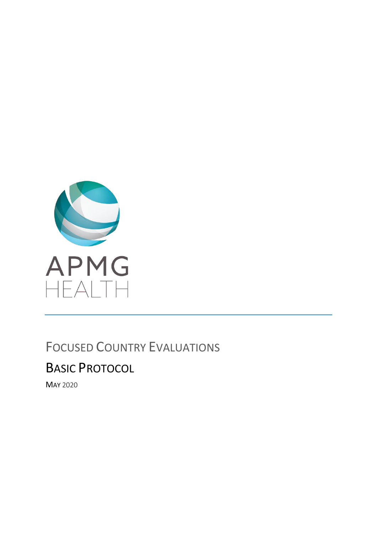

# FOCUSED COUNTRY EVALUATIONS

# BASIC PROTOCOL

MAY 2020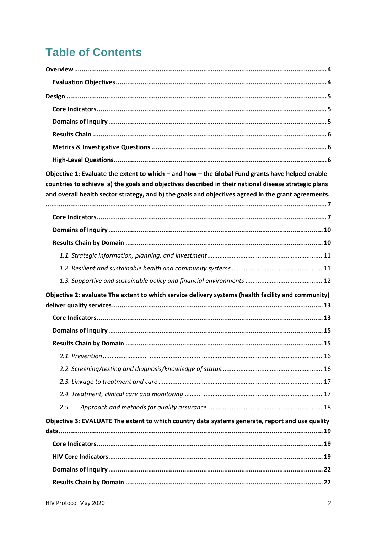# **Table of Contents**

| Objective 1: Evaluate the extent to which - and how - the Global Fund grants have helped enable      |
|------------------------------------------------------------------------------------------------------|
| countries to achieve a) the goals and objectives described in their national disease strategic plans |
| and overall health sector strategy, and b) the goals and objectives agreed in the grant agreements.  |
|                                                                                                      |
|                                                                                                      |
|                                                                                                      |
|                                                                                                      |
|                                                                                                      |
|                                                                                                      |
| Objective 2: evaluate The extent to which service delivery systems (health facility and community)   |
|                                                                                                      |
|                                                                                                      |
|                                                                                                      |
|                                                                                                      |
|                                                                                                      |
|                                                                                                      |
|                                                                                                      |
| 2.5.                                                                                                 |
| Objective 3: EVALUATE The extent to which country data systems generate, report and use quality      |
|                                                                                                      |
|                                                                                                      |
|                                                                                                      |
|                                                                                                      |
|                                                                                                      |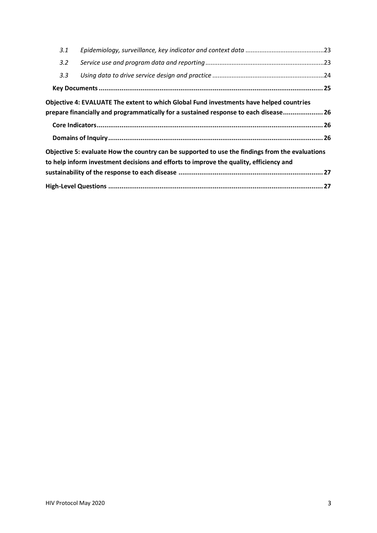| 3.1 |                                                                                                                                                                                 |  |
|-----|---------------------------------------------------------------------------------------------------------------------------------------------------------------------------------|--|
| 3.2 |                                                                                                                                                                                 |  |
| 3.3 |                                                                                                                                                                                 |  |
|     |                                                                                                                                                                                 |  |
|     | Objective 4: EVALUATE The extent to which Global Fund investments have helped countries<br>prepare financially and programmatically for a sustained response to each disease 26 |  |
|     |                                                                                                                                                                                 |  |
|     |                                                                                                                                                                                 |  |
|     | Objective 5: evaluate How the country can be supported to use the findings from the evaluations                                                                                 |  |
|     | to help inform investment decisions and efforts to improve the quality, efficiency and                                                                                          |  |
|     |                                                                                                                                                                                 |  |
|     |                                                                                                                                                                                 |  |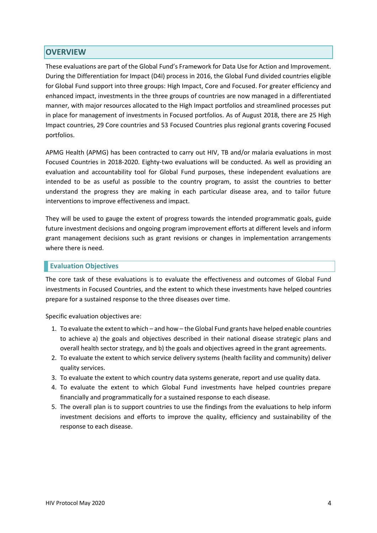## **OVERVIEW**

These evaluations are part of the Global Fund's Framework for Data Use for Action and Improvement. During the Differentiation for Impact (D4I) process in 2016, the Global Fund divided countries eligible for Global Fund support into three groups: High Impact, Core and Focused. For greater efficiency and enhanced impact, investments in the three groups of countries are now managed in a differentiated manner, with major resources allocated to the High Impact portfolios and streamlined processes put in place for management of investments in Focused portfolios. As of August 2018, there are 25 High Impact countries, 29 Core countries and 53 Focused Countries plus regional grants covering Focused portfolios.

APMG Health (APMG) has been contracted to carry out HIV, TB and/or malaria evaluations in most Focused Countries in 2018-2020. Eighty-two evaluations will be conducted. As well as providing an evaluation and accountability tool for Global Fund purposes, these independent evaluations are intended to be as useful as possible to the country program, to assist the countries to better understand the progress they are making in each particular disease area, and to tailor future interventions to improve effectiveness and impact.

They will be used to gauge the extent of progress towards the intended programmatic goals, guide future investment decisions and ongoing program improvement efforts at different levels and inform grant management decisions such as grant revisions or changes in implementation arrangements where there is need.

### **Evaluation Objectives**

The core task of these evaluations is to evaluate the effectiveness and outcomes of Global Fund investments in Focused Countries, and the extent to which these investments have helped countries prepare for a sustained response to the three diseases over time.

Specific evaluation objectives are:

- 1. To evaluate the extent to which and how the Global Fund grants have helped enable countries to achieve a) the goals and objectives described in their national disease strategic plans and overall health sector strategy, and b) the goals and objectives agreed in the grant agreements.
- 2. To evaluate the extent to which service delivery systems (health facility and community) deliver quality services.
- 3. To evaluate the extent to which country data systems generate, report and use quality data.
- 4. To evaluate the extent to which Global Fund investments have helped countries prepare financially and programmatically for a sustained response to each disease.
- 5. The overall plan is to support countries to use the findings from the evaluations to help inform investment decisions and efforts to improve the quality, efficiency and sustainability of the response to each disease.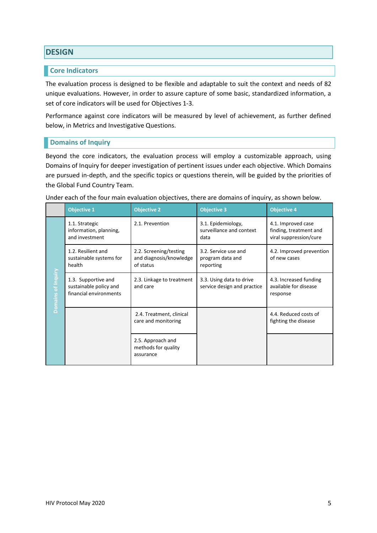# **DESIGN**

### **Core Indicators**

The evaluation process is designed to be flexible and adaptable to suit the context and needs of 82 unique evaluations. However, in order to assure capture of some basic, standardized information, a set of core indicators will be used for Objectives 1-3.

Performance against core indicators will be measured by level of achievement, as further defined below, in Metrics and Investigative Questions.

## **Domains of Inquiry**

Beyond the core indicators, the evaluation process will employ a customizable approach, using Domains of Inquiry for deeper investigation of pertinent issues under each objective. Which Domains are pursued in-depth, and the specific topics or questions therein, will be guided by the priorities of the Global Fund Country Team.

|                    | <b>Objective 1</b>                                                      | <b>Objective 2</b>                                             | <b>Objective 3</b>                                      | <b>Objective 4</b>                                                     |
|--------------------|-------------------------------------------------------------------------|----------------------------------------------------------------|---------------------------------------------------------|------------------------------------------------------------------------|
| Domains of Inquiry | 1.1. Strategic<br>information, planning,<br>and investment              | 2.1. Prevention                                                | 3.1. Epidemiology,<br>surveillance and context<br>data  | 4.1. Improved case<br>finding, treatment and<br>viral suppression/cure |
|                    | 1.2. Resilient and<br>sustainable systems for<br>health                 | 2.2. Screening/testing<br>and diagnosis/knowledge<br>of status | 3.2. Service use and<br>program data and<br>reporting   | 4.2. Improved prevention<br>of new cases                               |
|                    | 1.3. Supportive and<br>sustainable policy and<br>financial environments | 2.3. Linkage to treatment<br>and care                          | 3.3. Using data to drive<br>service design and practice | 4.3. Increased funding<br>available for disease<br>response            |
|                    |                                                                         | 2.4. Treatment, clinical<br>care and monitoring                |                                                         | 4.4. Reduced costs of<br>fighting the disease                          |
|                    |                                                                         | 2.5. Approach and<br>methods for quality<br>assurance          |                                                         |                                                                        |

Under each of the four main evaluation objectives, there are domains of inquiry, as shown below.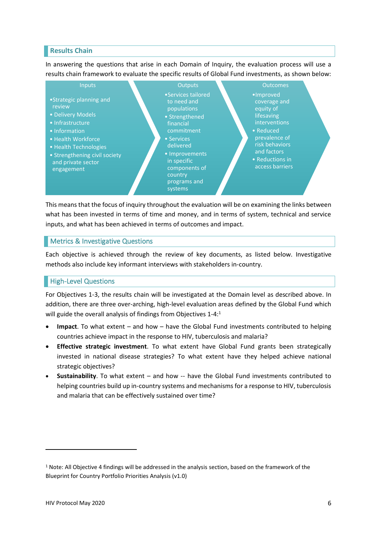### **Results Chain**

In answering the questions that arise in each Domain of Inquiry, the evaluation process will use a results chain framework to evaluate the specific results of Global Fund investments, as shown below:



This means that the focus of inquiry throughout the evaluation will be on examining the links between what has been invested in terms of time and money, and in terms of system, technical and service inputs, and what has been achieved in terms of outcomes and impact.

### **Metrics & Investigative Questions**

Each objective is achieved through the review of key documents, as listed below. Investigative methods also include key informant interviews with stakeholders in-country.

### High-Level Questions

For Objectives 1-3, the results chain will be investigated at the Domain level as described above. In addition, there are three over-arching, high-level evaluation areas defined by the Global Fund which will guide the overall analysis of findings from Objectives 1-4:<sup>1</sup>

- **Impact**. To what extent and how have the Global Fund investments contributed to helping countries achieve impact in the response to HIV, tuberculosis and malaria?
- **Effective strategic investment**. To what extent have Global Fund grants been strategically invested in national disease strategies? To what extent have they helped achieve national strategic objectives?
- **Sustainability**. To what extent and how -- have the Global Fund investments contributed to helping countries build up in-country systems and mechanisms for a response to HIV, tuberculosis and malaria that can be effectively sustained over time?

<sup>&</sup>lt;sup>1</sup> Note: All Objective 4 findings will be addressed in the analysis section, based on the framework of the Blueprint for Country Portfolio Priorities Analysis (v1.0)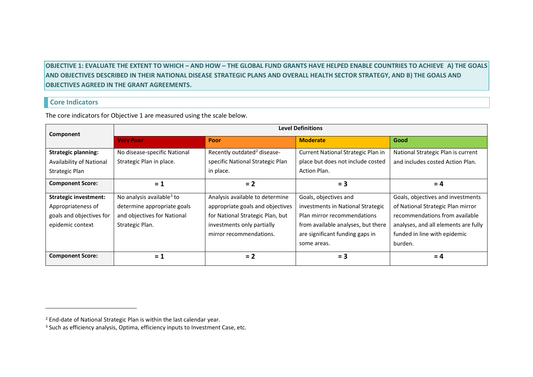**OBJECTIVE 1: EVALUATE THE EXTENT TO WHICH – AND HOW – THE GLOBAL FUND GRANTS HAVE HELPED ENABLE COUNTRIES TO ACHIEVE A) THE GOALS AND OBJECTIVES DESCRIBED IN THEIR NATIONAL DISEASE STRATEGIC PLANS AND OVERALL HEALTH SECTOR STRATEGY, AND B) THE GOALS AND OBJECTIVES AGREED IN THE GRANT AGREEMENTS.**

### **Core Indicators**

The core indicators for Objective 1 are measured using the scale below.

| Component                    | <b>Level Definitions</b>              |                                         |                                    |                                      |
|------------------------------|---------------------------------------|-----------------------------------------|------------------------------------|--------------------------------------|
|                              | <b>Very Poor</b>                      | Poor                                    | <b>Moderate</b>                    | Good                                 |
| <b>Strategic planning:</b>   | No disease-specific National          | Recently outdated <sup>2</sup> disease- | Current National Strategic Plan in | National Strategic Plan is current   |
| Availability of National     | Strategic Plan in place.              | specific National Strategic Plan        | place but does not include costed  | and includes costed Action Plan.     |
| Strategic Plan               |                                       | in place.                               | Action Plan.                       |                                      |
| <b>Component Score:</b>      | $= 1$                                 | $= 2$                                   | $= 3$                              | $= 4$                                |
| <b>Strategic investment:</b> | No analysis available <sup>3</sup> to | Analysis available to determine         | Goals, objectives and              | Goals, objectives and investments    |
| Appropriateness of           | determine appropriate goals           | appropriate goals and objectives        | investments in National Strategic  | of National Strategic Plan mirror    |
| goals and objectives for     | and objectives for National           | for National Strategic Plan, but        | Plan mirror recommendations        | recommendations from available       |
| epidemic context             | Strategic Plan.                       | investments only partially              | from available analyses, but there | analyses, and all elements are fully |
|                              |                                       | mirror recommendations.                 | are significant funding gaps in    | funded in line with epidemic         |
|                              |                                       |                                         | some areas.                        | burden.                              |
| <b>Component Score:</b>      | $= 1$                                 | $= 2$                                   | $= 3$                              | $= 4$                                |

<sup>&</sup>lt;sup>2</sup> End-date of National Strategic Plan is within the last calendar year.

<sup>&</sup>lt;sup>3</sup> Such as efficiency analysis, Optima, efficiency inputs to Investment Case, etc.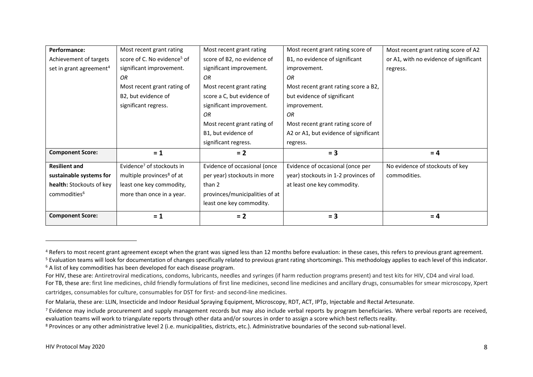| <b>Component Score:</b>             | $= 1$                                   | $= 2$                          | $= 3$                                 | $= 4$                                  |
|-------------------------------------|-----------------------------------------|--------------------------------|---------------------------------------|----------------------------------------|
|                                     |                                         | least one key commodity.       |                                       |                                        |
| commodities <sup>6</sup>            | more than once in a year.               | provinces/municipalities of at |                                       |                                        |
| health: Stockouts of key            | least one key commodity,                | than 2                         | at least one key commodity.           |                                        |
| sustainable systems for             | multiple provinces <sup>8</sup> of at   | per year) stockouts in more    | year) stockouts in 1-2 provinces of   | commodities.                           |
| <b>Resilient and</b>                | Evidence <sup>7</sup> of stockouts in   | Evidence of occasional (once   | Evidence of occasional (once per      | No evidence of stockouts of key        |
| <b>Component Score:</b>             | $= 1$                                   | $= 2$                          | $= 3$                                 | $= 4$                                  |
|                                     |                                         | significant regress.           | regress.                              |                                        |
|                                     |                                         | B1, but evidence of            | A2 or A1, but evidence of significant |                                        |
|                                     |                                         | Most recent grant rating of    | Most recent grant rating score of     |                                        |
|                                     |                                         | OR.                            | OR.                                   |                                        |
|                                     | significant regress.                    | significant improvement.       | improvement.                          |                                        |
|                                     | B2, but evidence of                     | score a C, but evidence of     | but evidence of significant           |                                        |
|                                     | Most recent grant rating of             | Most recent grant rating       | Most recent grant rating score a B2,  |                                        |
|                                     | OR.                                     | OR                             | OR.                                   |                                        |
| set in grant agreement <sup>4</sup> | significant improvement.                | significant improvement.       | improvement.                          | regress.                               |
| Achievement of targets              | score of C. No evidence <sup>5</sup> of | score of B2, no evidence of    | B1, no evidence of significant        | or A1, with no evidence of significant |
| Performance:                        | Most recent grant rating                | Most recent grant rating       | Most recent grant rating score of     | Most recent grant rating score of A2   |

cartridges, consumables for culture, consumables for DST for first- and second-line medicines.

<sup>&</sup>lt;sup>4</sup> Refers to most recent grant agreement except when the grant was signed less than 12 months before evaluation: in these cases, this refers to previous grant agreement.

<sup>&</sup>lt;sup>5</sup> Evaluation teams will look for documentation of changes specifically related to previous grant rating shortcomings. This methodology applies to each level of this indicator.

 $6$  A list of key commodities has been developed for each disease program.

For HIV, these are: Antiretroviral medications, condoms, lubricants, needles and syringes (if harm reduction programs present) and test kits for HIV, CD4 and viral load.

For TB, these are: first line medicines, child friendly formulations of first line medicines, second line medicines and ancillary drugs, consumables for smear microscopy, Xpert

For Malaria, these are: LLIN, Insecticide and Indoor Residual Spraying Equipment, Microscopy, RDT, ACT, IPTp, Injectable and Rectal Artesunate.

 $<sup>7</sup>$  Evidence may include procurement and supply management records but may also include verbal reports by program beneficiaries. Where verbal reports are received,</sup> evaluation teams will work to triangulate reports through other data and/or sources in order to assign a score which best reflects reality.

<sup>8</sup> Provinces or any other administrative level 2 (i.e. municipalities, districts, etc.). Administrative boundaries of the second sub-national level.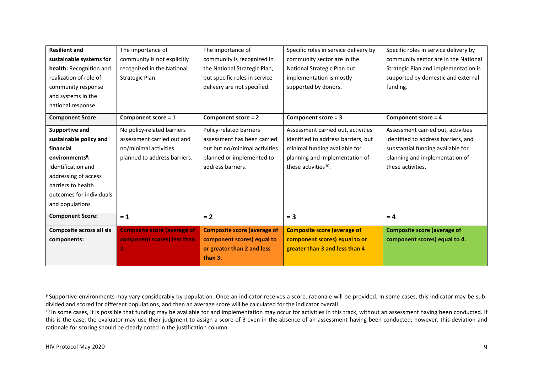| <b>Resilient and</b>        | The importance of                  | The importance of                  | Specific roles in service delivery by | Specific roles in service delivery by |
|-----------------------------|------------------------------------|------------------------------------|---------------------------------------|---------------------------------------|
| sustainable systems for     | community is not explicitly        | community is recognized in         | community sector are in the           | community sector are in the National  |
| health: Recognition and     | recognized in the National         | the National Strategic Plan,       | National Strategic Plan but           | Strategic Plan and implementation is  |
| realization of role of      | Strategic Plan.                    | but specific roles in service      | implementation is mostly              | supported by domestic and external    |
| community response          |                                    | delivery are not specified.        | supported by donors.                  | funding.                              |
| and systems in the          |                                    |                                    |                                       |                                       |
| national response           |                                    |                                    |                                       |                                       |
| <b>Component Score</b>      | Component score = 1                | Component score = 2                | Component score = 3                   | Component score = 4                   |
| Supportive and              | No policy-related barriers         | Policy-related barriers            | Assessment carried out, activities    | Assessment carried out, activities    |
| sustainable policy and      | assessment carried out and         | assessment has been carried        | identified to address barriers, but   | identified to address barriers, and   |
| financial                   | no/minimal activities              | out but no/minimal activities      | minimal funding available for         | substantial funding available for     |
| environments <sup>9</sup> : | planned to address barriers.       | planned or implemented to          | planning and implementation of        | planning and implementation of        |
| <b>Identification and</b>   |                                    | address barriers.                  | these activities <sup>10</sup> .      | these activities.                     |
| addressing of access        |                                    |                                    |                                       |                                       |
| barriers to health          |                                    |                                    |                                       |                                       |
| outcomes for individuals    |                                    |                                    |                                       |                                       |
| and populations             |                                    |                                    |                                       |                                       |
| <b>Component Score:</b>     | $= 1$                              | $= 2$                              | $= 3$                                 | $= 4$                                 |
| Composite across all six    | <b>Composite score (average of</b> | <b>Composite score (average of</b> | <b>Composite score (average of</b>    | <b>Composite score (average of</b>    |
| components:                 | component scores) less than        | component scores) equal to         | component scores) equal to or         | component scores) equal to 4.         |
|                             | 2.                                 | or greater than 2 and less         | greater than 3 and less than 4        |                                       |
|                             |                                    | than 3.                            |                                       |                                       |

<sup>&</sup>lt;sup>9</sup> Supportive environments may vary considerably by population. Once an indicator receives a score, rationale will be provided. In some cases, this indicator may be subdivided and scored for different populations, and then an average score will be calculated for the indicator overall.

<sup>&</sup>lt;sup>10</sup> In some cases, it is possible that funding may be available for and implementation may occur for activities in this track, without an assessment having been conducted. If this is the case, the evaluator may use their judgment to assign a score of 3 even in the absence of an assessment having been conducted; however, this deviation and rationale for scoring should be clearly noted in the justification column.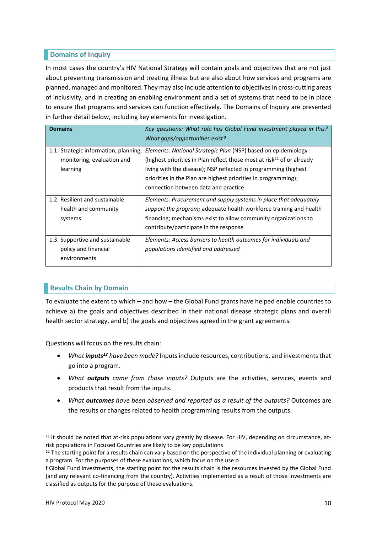## **Domains of Inquiry**

In most cases the country's HIV National Strategy will contain goals and objectives that are not just about preventing transmission and treating illness but are also about how services and programs are planned, managed and monitored. They may also include attention to objectives in cross-cutting areas of inclusivity, and in creating an enabling environment and a set of systems that need to be in place to ensure that programs and services can function effectively. The Domains of Inquiry are presented in further detail below, including key elements for investigation.

| <b>Domains</b>                                                                  | Key questions: What role has Global Fund investment played in this?<br>What gaps/opportunities exist?                                                                                                                                                                                                                      |
|---------------------------------------------------------------------------------|----------------------------------------------------------------------------------------------------------------------------------------------------------------------------------------------------------------------------------------------------------------------------------------------------------------------------|
| 1.1. Strategic information, planning,<br>monitoring, evaluation and<br>learning | Elements: National Strategic Plan (NSP) based on epidemiology<br>(highest priorities in Plan reflect those most at risk $^{11}$ of or already<br>living with the disease); NSP reflected in programming (highest<br>priorities in the Plan are highest priorities in programming);<br>connection between data and practice |
| 1.2. Resilient and sustainable<br>health and community<br>systems               | Elements: Procurement and supply systems in place that adequately<br><i>support the program;</i> adequate health workforce training and health<br>financing; mechanisms exist to allow community organizations to<br>contribute/participate in the response                                                                |
| 1.3. Supportive and sustainable<br>policy and financial<br>environments         | Elements: Access barriers to health outcomes for individuals and<br>populations identified and addressed                                                                                                                                                                                                                   |

### **Results Chain by Domain**

To evaluate the extent to which – and how – the Global Fund grants have helped enable countries to achieve a) the goals and objectives described in their national disease strategic plans and overall health sector strategy, and b) the goals and objectives agreed in the grant agreements.

Questions will focus on the results chain:

- *What inputs<sup>12</sup> have been made?* Inputs include resources, contributions, and investments that go into a program.
- *What outputs came from those inputs?* Outputs are the activities, services, events and products that result from the inputs.
- *What outcomes have been observed and reported as a result of the outputs?* Outcomes are the results or changes related to health programming results from the outputs.

<sup>&</sup>lt;sup>11</sup> It should be noted that at-risk populations vary greatly by disease. For HIV, depending on circumstance, atrisk populations in Focused Countries are likely to be key populations

 $12$  The starting point for a results chain can vary based on the perspective of the individual planning or evaluating a program. For the purposes of these evaluations, which focus on the use o

f Global Fund investments, the starting point for the results chain is the resources invested by the Global Fund (and any relevant co-financing from the country). Activities implemented as a result of those investments are classified as outputs for the purpose of these evaluations.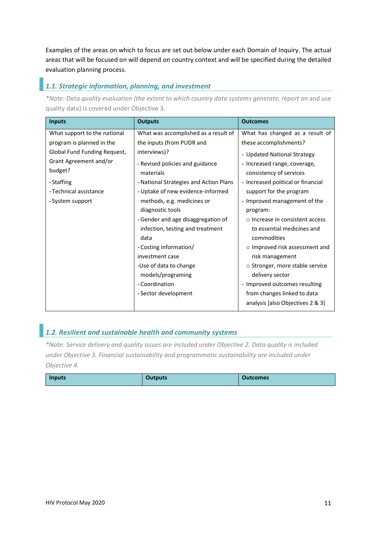Examples of the areas on which to focus are set out below under each Domain of Inquiry. The actual areas that will be focused on will depend on country context and will be specified during the detailed evaluation planning process.

### *1.1. Strategic information, planning, and investment*

*\*Note: Data quality evaluation (the extent to which country data systems generate, report* on and use quality data) is covered under Objective 3.

| <b>Inputs</b>                | <b>Outputs</b>                         | <b>Outcomes</b>                      |
|------------------------------|----------------------------------------|--------------------------------------|
| What support to the national | What was accomplished as a result of   | What has changed as a result of      |
| program is planned in the    | the inputs (from PUDR and              | these accomplishments?               |
| Global Fund Funding Request, | interviews)?                           | - Updated National Strategy          |
| Grant Agreement and/or       | - Revised policies and guidance        | - Increased range, coverage,         |
| budget?                      | materials                              | consistency of services              |
| - Staffing                   | - National Strategies and Action Plans | - Increased political or financial   |
| - Technical assistance       | - Uptake of new evidence-informed      | support for the program              |
| - System support             | methods, e.g. medicines or             | - Improved management of the         |
|                              | diagnostic tools                       | program:                             |
|                              | - Gender and age disaggregation of     | o Increase in consistent access      |
|                              | infection, testing and treatment       | to essential medicines and           |
|                              | data                                   | commodities                          |
|                              | - Costing information/                 | $\circ$ Improved risk assessment and |
|                              | investment case                        | risk management                      |
|                              | -Use of data to change                 | o Stronger, more stable service      |
|                              | models/programing                      | delivery sector                      |
|                              | - Coordination                         | - Improved outcomes resulting        |
|                              | - Sector development                   | from changes linked to data          |
|                              |                                        | analysis [also Objectives 2 & 3]     |

# *1.2. Resilient and sustainable health and community systems*

*\*Note: Service delivery and quality issues are included under Objective 2. Data quality is included under Objective 3. Financial sustainability and programmatic sustainability are included under Objective 4.*

| Inputs | <b>Dutputs</b> | Outcomes |
|--------|----------------|----------|
|--------|----------------|----------|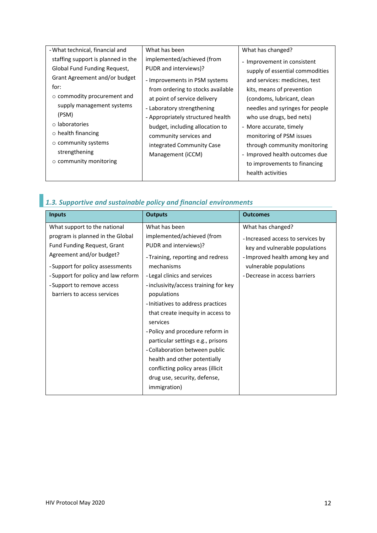| - What technical, financial and    | What has been                     | What has changed?               |
|------------------------------------|-----------------------------------|---------------------------------|
| staffing support is planned in the | implemented/achieved (from        | - Improvement in consistent     |
| Global Fund Funding Request,       | PUDR and interviews)?             | supply of essential commodities |
| Grant Agreement and/or budget      | - Improvements in PSM systems     | and services: medicines, test   |
| for:                               | from ordering to stocks available | kits, means of prevention       |
| $\circ$ commodity procurement and  | at point of service delivery      | (condoms, lubricant, clean      |
| supply management systems          | - Laboratory strengthening        | needles and syringes for people |
| (PSM)                              | - Appropriately structured health | who use drugs, bed nets)        |
| o laboratories                     | budget, including allocation to   | - More accurate, timely         |
| $\circ$ health financing           | community services and            | monitoring of PSM issues        |
| o community systems                | integrated Community Case         | through community monitoring    |
| strengthening                      | Management (iCCM)                 | - Improved health outcomes due  |
| $\circ$ community monitoring       |                                   | to improvements to financing    |
|                                    |                                   | health activities               |
|                                    |                                   |                                 |

# *1.3. Supportive and sustainable policy and financial environments*

| <b>Inputs</b>                       | <b>Outputs</b>                        | <b>Outcomes</b>                   |
|-------------------------------------|---------------------------------------|-----------------------------------|
| What support to the national        | What has been                         | What has changed?                 |
| program is planned in the Global    | implemented/achieved (from            | - Increased access to services by |
| Fund Funding Request, Grant         | PUDR and interviews)?                 | key and vulnerable populations    |
| Agreement and/or budget?            | - Training, reporting and redress     | - Improved health among key and   |
| - Support for policy assessments    | mechanisms                            | vulnerable populations            |
| - Support for policy and law reform | - Legal clinics and services          | - Decrease in access barriers     |
| - Support to remove access          | - inclusivity/access training for key |                                   |
| barriers to access services         | populations                           |                                   |
|                                     | - Initiatives to address practices    |                                   |
|                                     | that create inequity in access to     |                                   |
|                                     | services                              |                                   |
|                                     | - Policy and procedure reform in      |                                   |
|                                     | particular settings e.g., prisons     |                                   |
|                                     | - Collaboration between public        |                                   |
|                                     | health and other potentially          |                                   |
|                                     | conflicting policy areas (illicit     |                                   |
|                                     | drug use, security, defense,          |                                   |
|                                     | immigration)                          |                                   |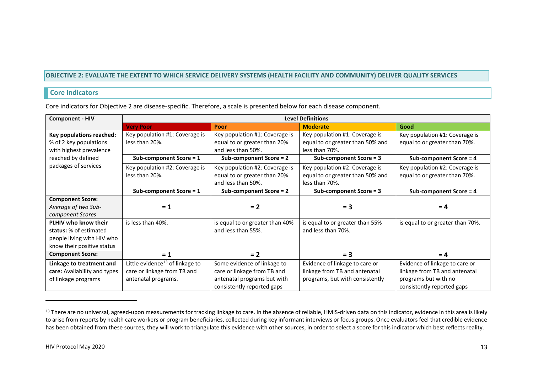#### **OBJECTIVE 2: EVALUATE THE EXTENT TO WHICH SERVICE DELIVERY SYSTEMS (HEALTH FACILITY AND COMMUNITY) DELIVER QUALITY SERVICES**

### **Core Indicators**

Core indicators for Objective 2 are disease-specific. Therefore, a scale is presented below for each disease component.

| <b>Component - HIV</b>       | <b>Level Definitions</b>                    |                                 |                                  |                                  |
|------------------------------|---------------------------------------------|---------------------------------|----------------------------------|----------------------------------|
|                              | <b>Very Poor</b>                            | <b>Poor</b>                     | <b>Moderate</b>                  | Good                             |
| Key populations reached:     | Key population #1: Coverage is              | Key population #1: Coverage is  | Key population #1: Coverage is   | Key population #1: Coverage is   |
| % of 2 key populations       | less than 20%.                              | equal to or greater than 20%    | equal to or greater than 50% and | equal to or greater than 70%.    |
| with highest prevalence      |                                             | and less than 50%.              | less than 70%.                   |                                  |
| reached by defined           | Sub-component Score = 1                     | Sub-component Score = 2         | Sub-component Score = 3          | Sub-component Score = 4          |
| packages of services         | Key population #2: Coverage is              | Key population #2: Coverage is  | Key population #2: Coverage is   | Key population #2: Coverage is   |
|                              | less than 20%.                              | equal to or greater than 20%    | equal to or greater than 50% and | equal to or greater than 70%.    |
|                              |                                             | and less than 50%.              | less than 70%.                   |                                  |
|                              | Sub-component Score = 1                     | Sub-component Score = 2         | Sub-component Score = 3          | Sub-component Score = 4          |
| <b>Component Score:</b>      |                                             |                                 |                                  |                                  |
| Average of two Sub-          | $= 1$                                       | $= 2$                           | $= 3$                            | $= 4$                            |
| component Scores             |                                             |                                 |                                  |                                  |
| PLHIV who know their         | is less than 40%.                           | is equal to or greater than 40% | is equal to or greater than 55%  | is equal to or greater than 70%. |
| status: % of estimated       |                                             | and less than 55%.              | and less than 70%.               |                                  |
| people living with HIV who   |                                             |                                 |                                  |                                  |
| know their positive status   |                                             |                                 |                                  |                                  |
| <b>Component Score:</b>      | $= 1$                                       | $= 2$                           | $= 3$                            | $= 4$                            |
| Linkage to treatment and     | Little evidence <sup>13</sup> of linkage to | Some evidence of linkage to     | Evidence of linkage to care or   | Evidence of linkage to care or   |
| care: Availability and types | care or linkage from TB and                 | care or linkage from TB and     | linkage from TB and antenatal    | linkage from TB and antenatal    |
| of linkage programs          | antenatal programs.                         | antenatal programs but with     | programs, but with consistently  | programs but with no             |
|                              |                                             | consistently reported gaps      |                                  | consistently reported gaps       |

<sup>&</sup>lt;sup>13</sup> There are no universal, agreed-upon measurements for tracking linkage to care. In the absence of reliable, HMIS-driven data on this indicator, evidence in this area is likely to arise from reports by health care workers or program beneficiaries, collected during key informant interviews or focus groups. Once evaluators feel that credible evidence has been obtained from these sources, they will work to triangulate this evidence with other sources, in order to select a score for this indicator which best reflects reality.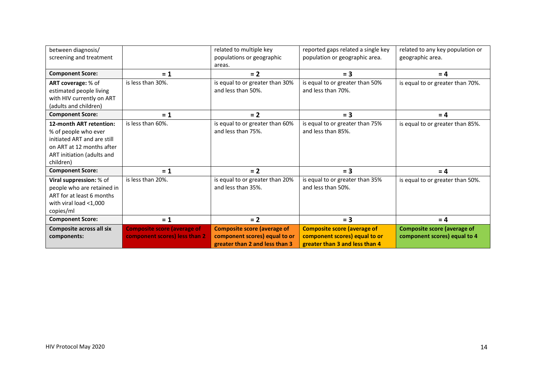| between diagnosis/              |                                    | related to multiple key            | reported gaps related a single key | related to any key population or   |
|---------------------------------|------------------------------------|------------------------------------|------------------------------------|------------------------------------|
| screening and treatment         |                                    | populations or geographic          | population or geographic area.     | geographic area.                   |
|                                 |                                    | areas.                             |                                    |                                    |
| <b>Component Score:</b>         |                                    | $= 2$                              | $= 3$                              | $= 4$                              |
|                                 | $= 1$                              |                                    |                                    |                                    |
| ART coverage: % of              | is less than 30%.                  | is equal to or greater than 30%    | is equal to or greater than 50%    | is equal to or greater than 70%.   |
| estimated people living         |                                    | and less than 50%.                 | and less than 70%.                 |                                    |
| with HIV currently on ART       |                                    |                                    |                                    |                                    |
| (adults and children)           |                                    |                                    |                                    |                                    |
| <b>Component Score:</b>         | $= 1$                              | $= 2$                              | $= 3$                              | $= 4$                              |
| 12-month ART retention:         | is less than 60%.                  | is equal to or greater than 60%    | is equal to or greater than 75%    | is equal to or greater than 85%.   |
| % of people who ever            |                                    | and less than 75%.                 | and less than 85%.                 |                                    |
| initiated ART and are still     |                                    |                                    |                                    |                                    |
| on ART at 12 months after       |                                    |                                    |                                    |                                    |
| ART initiation (adults and      |                                    |                                    |                                    |                                    |
| children)                       |                                    |                                    |                                    |                                    |
| <b>Component Score:</b>         | $= 1$                              | $= 2$                              | $= 3$                              | $= 4$                              |
| Viral suppression: % of         | is less than 20%.                  | is equal to or greater than 20%    | is equal to or greater than 35%    | is equal to or greater than 50%.   |
| people who are retained in      |                                    | and less than 35%.                 | and less than 50%.                 |                                    |
| ART for at least 6 months       |                                    |                                    |                                    |                                    |
| with viral load $<$ 1,000       |                                    |                                    |                                    |                                    |
| copies/ml                       |                                    |                                    |                                    |                                    |
| <b>Component Score:</b>         | $= 1$                              | $= 2$                              | $= 3$                              | $= 4$                              |
| <b>Composite across all six</b> | <b>Composite score (average of</b> | <b>Composite score (average of</b> | <b>Composite score (average of</b> | <b>Composite score (average of</b> |
| components:                     | component scores) less than 2      | component scores) equal to or      | component scores) equal to or      | component scores) equal to 4       |
|                                 |                                    | greater than 2 and less than 3     | greater than 3 and less than 4     |                                    |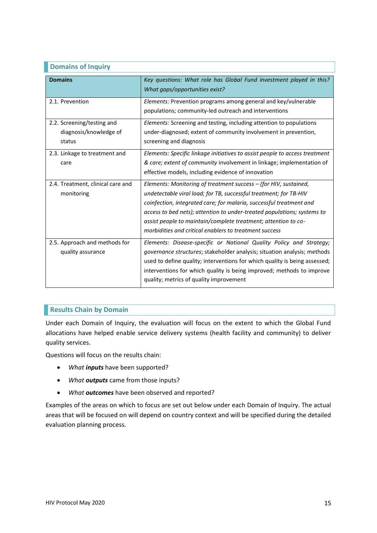### **Domains of Inquiry**

| <b>Domains</b>                                                 | Key questions: What role has Global Fund investment played in this?<br>What gaps/opportunities exist?                                                                                                                                                                                                                                                                                                               |
|----------------------------------------------------------------|---------------------------------------------------------------------------------------------------------------------------------------------------------------------------------------------------------------------------------------------------------------------------------------------------------------------------------------------------------------------------------------------------------------------|
| 2.1. Prevention                                                | Elements: Prevention programs among general and key/vulnerable<br>populations; community-led outreach and interventions                                                                                                                                                                                                                                                                                             |
| 2.2. Screening/testing and<br>diagnosis/knowledge of<br>status | Elements: Screening and testing, including attention to populations<br>under-diagnosed; extent of community involvement in prevention,<br>screening and diagnosis                                                                                                                                                                                                                                                   |
| 2.3. Linkage to treatment and<br>care                          | Elements: Specific linkage initiatives to assist people to access treatment<br>& care; extent of community involvement in linkage; implementation of<br>effective models, including evidence of innovation                                                                                                                                                                                                          |
| 2.4. Treatment, clinical care and<br>monitoring                | Elements: Monitoring of treatment success - (for HIV, sustained,<br>undetectable viral load; for TB, successful treatment; for TB-HIV<br>coinfection, integrated care; for malaria, successful treatment and<br>access to bed nets); attention to under-treated populations; systems to<br>assist people to maintain/complete treatment; attention to co-<br>morbidities and critical enablers to treatment success |
| 2.5. Approach and methods for<br>quality assurance             | Elements: Disease-specific or National Quality Policy and Strategy;<br>governance structures; stakeholder analysis; situation analysis; methods<br>used to define quality; interventions for which quality is being assessed;<br>interventions for which quality is being improved; methods to improve<br>quality; metrics of quality improvement                                                                   |

## **Results Chain by Domain**

Under each Domain of Inquiry, the evaluation will focus on the extent to which the Global Fund allocations have helped enable service delivery systems (health facility and community) to deliver quality services.

Questions will focus on the results chain:

- *What inputs* have been supported?
- *What outputs* came from those inputs?
- *What outcomes* have been observed and reported?

Examples of the areas on which to focus are set out below under each Domain of Inquiry. The actual areas that will be focused on will depend on country context and will be specified during the detailed evaluation planning process.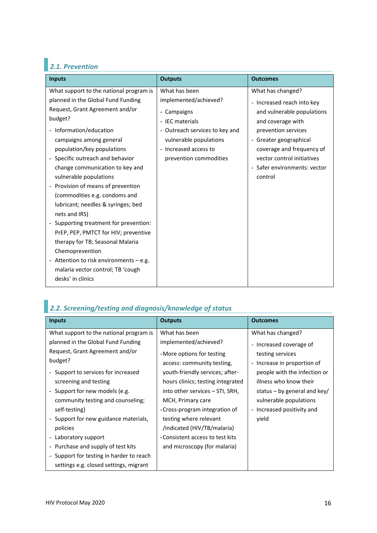# *2.1. Prevention*

| <b>Inputs</b>                                                                | <b>Outputs</b>                 | <b>Outcomes</b>              |
|------------------------------------------------------------------------------|--------------------------------|------------------------------|
| What support to the national program is                                      | What has been                  | What has changed?            |
| planned in the Global Fund Funding                                           | implemented/achieved?          | - Increased reach into key   |
| Request, Grant Agreement and/or                                              | - Campaigns                    | and vulnerable populations   |
| budget?                                                                      | - IEC materials                | and coverage with            |
| - Information/education                                                      | - Outreach services to key and | prevention services          |
| campaigns among general                                                      | vulnerable populations         | - Greater geographical       |
| population/key populations                                                   | - Increased access to          | coverage and frequency of    |
| - Specific outreach and behavior                                             | prevention commodities         | vector control initiatives   |
| change communication to key and                                              |                                | - Safer environments: vector |
| vulnerable populations                                                       |                                | control                      |
| - Provision of means of prevention                                           |                                |                              |
| (commodities e.g. condoms and                                                |                                |                              |
| lubricant; needles & syringes; bed                                           |                                |                              |
| nets and IRS)                                                                |                                |                              |
| - Supporting treatment for prevention:                                       |                                |                              |
| PrEP, PEP, PMTCT for HIV; preventive                                         |                                |                              |
| therapy for TB; Seasonal Malaria                                             |                                |                              |
| Chemoprevention                                                              |                                |                              |
| - Attention to risk environments - e.g.<br>malaria vector control; TB 'cough |                                |                              |
| desks' in clinics                                                            |                                |                              |
|                                                                              |                                |                              |

# *2.2. Screening/testing and diagnosis/knowledge of status*

| <b>Inputs</b>                            | <b>Outputs</b>                    | <b>Outcomes</b>                                       |
|------------------------------------------|-----------------------------------|-------------------------------------------------------|
| What support to the national program is  | What has been                     | What has changed?                                     |
| planned in the Global Fund Funding       | implemented/achieved?             | - Increased coverage of                               |
| Request, Grant Agreement and/or          | -More options for testing         | testing services                                      |
| budget?                                  | access: community testing,        | Increase in proportion of<br>$\overline{\phantom{a}}$ |
| - Support to services for increased      | youth-friendly services; after-   | people with the infection or                          |
| screening and testing                    | hours clinics; testing integrated | illness who know their                                |
| - Support for new models (e.g.           | into other services – STI, SRH,   | status – by general and key/                          |
| community testing and counseling;        | MCH, Primary care                 | vulnerable populations                                |
| self-testing)                            | -Cross-program integration of     | - Increased positivity and                            |
| - Support for new guidance materials,    | testing where relevant            | vield                                                 |
| policies                                 | /indicated (HIV/TB/malaria)       |                                                       |
| - Laboratory support                     | -Consistent access to test kits   |                                                       |
| - Purchase and supply of test kits       | and microscopy (for malaria)      |                                                       |
| - Support for testing in harder to reach |                                   |                                                       |
| settings e.g. closed settings, migrant   |                                   |                                                       |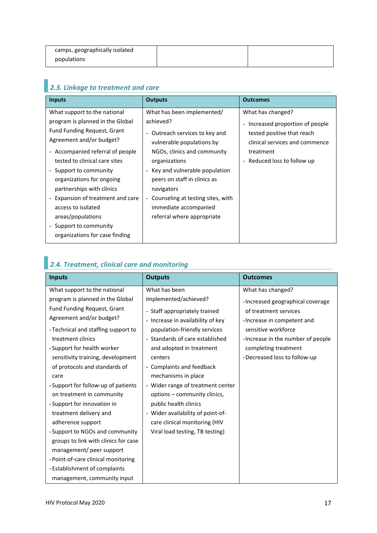| camps, geographically isolated |  |
|--------------------------------|--|
| populations                    |  |

# *2.3. Linkage to treatment and care*

| <b>Inputs</b>                      | <b>Outputs</b>                      | <b>Outcomes</b>                  |
|------------------------------------|-------------------------------------|----------------------------------|
| What support to the national       | What has been implemented/          | What has changed?                |
| program is planned in the Global   | achieved?                           | - Increased proportion of people |
| <b>Fund Funding Request, Grant</b> | - Outreach services to key and      | tested positive that reach       |
| Agreement and/or budget?           | vulnerable populations by           | clinical services and commence   |
| - Accompanied referral of people   | NGOs, clinics and community         | treatment                        |
| tested to clinical care sites      | organizations                       | - Reduced loss to follow up      |
| - Support to community             | - Key and vulnerable population     |                                  |
| organizations for ongoing          | peers on staff in clinics as        |                                  |
| partnerships with clinics          | navigators                          |                                  |
| Expansion of treatment and care    | - Counseling at testing sites, with |                                  |
| access to isolated                 | immediate accompanied               |                                  |
| areas/populations                  | referral where appropriate          |                                  |
| - Support to community             |                                     |                                  |
| organizations for case finding     |                                     |                                  |

# *2.4. Treatment, clinical care and monitoring*

| <b>Inputs</b>                        | <b>Outputs</b>                    | <b>Outcomes</b>                   |
|--------------------------------------|-----------------------------------|-----------------------------------|
| What support to the national         | What has been                     | What has changed?                 |
| program is planned in the Global     | implemented/achieved?             | -Increased geographical coverage  |
| Fund Funding Request, Grant          | - Staff appropriately trained     | of treatment services             |
| Agreement and/or budget?             | - Increase in availability of key | -Increase in competent and        |
| - Technical and staffing support to  | population-friendly services      | sensitive workforce               |
| treatment clinics                    | - Standards of care established   | -Increase in the number of people |
| -Support for health worker           | and adopted in treatment          | completing treatment              |
| sensitivity training, development    | centers                           | -Decreased loss to follow-up      |
| of protocols and standards of        | - Complaints and feedback         |                                   |
| care                                 | mechanisms in place               |                                   |
| - Support for follow-up of patients  | - Wider range of treatment center |                                   |
| on treatment in community            | options - community clinics,      |                                   |
| -Support for innovation in           | public health clinics             |                                   |
| treatment delivery and               | - Wider availability of point-of- |                                   |
| adherence support                    | care clinical monitoring (HIV     |                                   |
| - Support to NGOs and community      | Viral load testing, TB testing)   |                                   |
| groups to link with clinics for case |                                   |                                   |
| management/ peer support             |                                   |                                   |
| - Point-of-care clinical monitoring  |                                   |                                   |
| - Establishment of complaints        |                                   |                                   |
| management, community input          |                                   |                                   |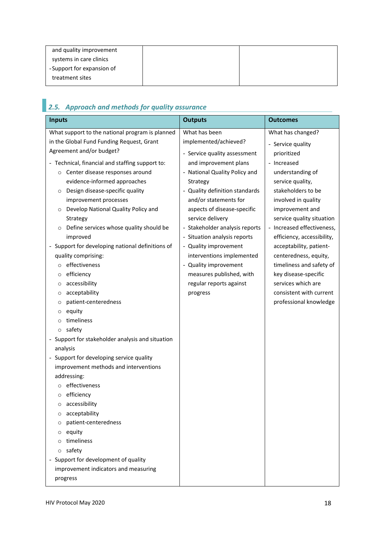| and quality improvement    |  |
|----------------------------|--|
| systems in care clinics    |  |
| - Support for expansion of |  |
| treatment sites            |  |

|  |  |  | 2.5. Approach and methods for quality assurance |  |  |
|--|--|--|-------------------------------------------------|--|--|
|--|--|--|-------------------------------------------------|--|--|

| <b>Inputs</b>                                                                     | <b>Outputs</b>                 | <b>Outcomes</b>            |  |
|-----------------------------------------------------------------------------------|--------------------------------|----------------------------|--|
| What support to the national program is planned                                   | What has been                  | What has changed?          |  |
| in the Global Fund Funding Request, Grant                                         | implemented/achieved?          | - Service quality          |  |
| Agreement and/or budget?                                                          | - Service quality assessment   | prioritized                |  |
| - Technical, financial and staffing support to:                                   | and improvement plans          | - Increased                |  |
| Center disease responses around<br>$\circ$                                        | - National Quality Policy and  | understanding of           |  |
| evidence-informed approaches                                                      | Strategy                       | service quality,           |  |
| Design disease-specific quality<br>O                                              | - Quality definition standards | stakeholders to be         |  |
| improvement processes                                                             | and/or statements for          | involved in quality        |  |
| Develop National Quality Policy and<br>$\circ$                                    | aspects of disease-specific    | improvement and            |  |
| Strategy                                                                          | service delivery               | service quality situation  |  |
| Define services whose quality should be<br>$\circ$                                | - Stakeholder analysis reports | - Increased effectiveness, |  |
| improved                                                                          | Situation analysis reports     | efficiency, accessibility, |  |
| - Support for developing national definitions of                                  | - Quality improvement          | acceptability, patient-    |  |
| quality comprising:                                                               | interventions implemented      | centeredness, equity,      |  |
| effectiveness<br>$\circ$                                                          | - Quality improvement          | timeliness and safety of   |  |
| efficiency<br>O                                                                   | measures published, with       | key disease-specific       |  |
| accessibility<br>$\circ$                                                          | regular reports against        | services which are         |  |
| acceptability<br>$\circ$                                                          | progress                       | consistent with current    |  |
| patient-centeredness<br>$\circ$                                                   |                                | professional knowledge     |  |
| equity<br>$\circ$                                                                 |                                |                            |  |
| timeliness<br>$\circ$                                                             |                                |                            |  |
| safety<br>$\circ$                                                                 |                                |                            |  |
| - Support for stakeholder analysis and situation                                  |                                |                            |  |
| analysis                                                                          |                                |                            |  |
| - Support for developing service quality<br>improvement methods and interventions |                                |                            |  |
| addressing:                                                                       |                                |                            |  |
| effectiveness                                                                     |                                |                            |  |
| o efficiency                                                                      |                                |                            |  |
| accessibility<br>O                                                                |                                |                            |  |
| acceptability<br>$\circ$                                                          |                                |                            |  |
| patient-centeredness<br>O                                                         |                                |                            |  |
| equity<br>O                                                                       |                                |                            |  |
| timeliness<br>$\Omega$                                                            |                                |                            |  |
| safety<br>$\circ$                                                                 |                                |                            |  |
| Support for development of quality                                                |                                |                            |  |
| improvement indicators and measuring                                              |                                |                            |  |
| progress                                                                          |                                |                            |  |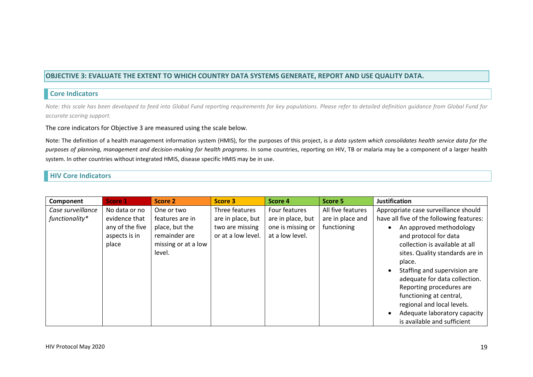### **OBJECTIVE 3: EVALUATE THE EXTENT TO WHICH COUNTRY DATA SYSTEMS GENERATE, REPORT AND USE QUALITY DATA.**

### **Core Indicators**

*Note: this scale has been developed to feed into Global Fund reporting requirements for key populations. Please refer to detailed definition guidance from Global Fund for accurate scoring support.* 

### The core indicators for Objective 3 are measured using the scale below.

Note: The definition of a health management information system (HMIS), for the purposes of this project, is *a data system which consolidates health service data for the purposes of planning, management and decision-making for health programs*. In some countries, reporting on HIV, TB or malaria may be a component of a larger health system. In other countries without integrated HMIS, disease specific HMIS may be in use.

### **HIV Core Indicators**

| Component                           | Score 1                                                                     | Score 2                                                                                           | Score 3                                                                      | Score 4                                                                    | Score 5                                              | <b>Justification</b>                                                                                                                                                                                                                                                                                                                                                                                                                     |
|-------------------------------------|-----------------------------------------------------------------------------|---------------------------------------------------------------------------------------------------|------------------------------------------------------------------------------|----------------------------------------------------------------------------|------------------------------------------------------|------------------------------------------------------------------------------------------------------------------------------------------------------------------------------------------------------------------------------------------------------------------------------------------------------------------------------------------------------------------------------------------------------------------------------------------|
| Case surveillance<br>functionality* | No data or no<br>evidence that<br>any of the five<br>aspects is in<br>place | One or two<br>features are in<br>place, but the<br>remainder are<br>missing or at a low<br>level. | Three features<br>are in place, but<br>two are missing<br>or at a low level. | Four features<br>are in place, but<br>one is missing or<br>at a low level. | All five features<br>are in place and<br>functioning | Appropriate case surveillance should<br>have all five of the following features:<br>An approved methodology<br>and protocol for data<br>collection is available at all<br>sites. Quality standards are in<br>place.<br>Staffing and supervision are<br>adequate for data collection.<br>Reporting procedures are<br>functioning at central,<br>regional and local levels.<br>Adequate laboratory capacity<br>is available and sufficient |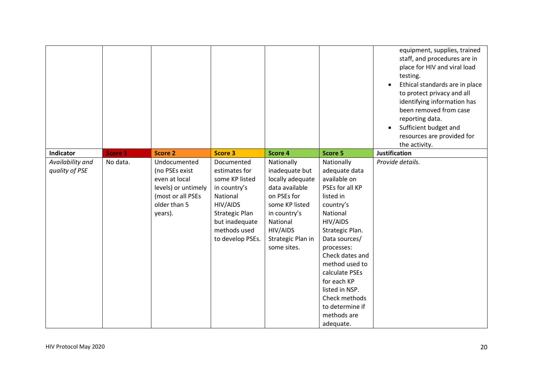|                                    |          |                                                                                                                        |                                                                                                                                                                      |                                                                                                                                                                                 |                                                                                                                                                                                                                                                                                                                            | equipment, supplies, trained<br>staff, and procedures are in<br>place for HIV and viral load<br>testing.<br>Ethical standards are in place<br>$\bullet$<br>to protect privacy and all<br>identifying information has<br>been removed from case<br>reporting data.<br>Sufficient budget and<br>$\bullet$<br>resources are provided for<br>the activity. |
|------------------------------------|----------|------------------------------------------------------------------------------------------------------------------------|----------------------------------------------------------------------------------------------------------------------------------------------------------------------|---------------------------------------------------------------------------------------------------------------------------------------------------------------------------------|----------------------------------------------------------------------------------------------------------------------------------------------------------------------------------------------------------------------------------------------------------------------------------------------------------------------------|--------------------------------------------------------------------------------------------------------------------------------------------------------------------------------------------------------------------------------------------------------------------------------------------------------------------------------------------------------|
| Indicator                          | Score 1  | <b>Score 2</b>                                                                                                         | <b>Score 3</b>                                                                                                                                                       | Score 4                                                                                                                                                                         | Score 5                                                                                                                                                                                                                                                                                                                    | <b>Justification</b>                                                                                                                                                                                                                                                                                                                                   |
| Availability and<br>quality of PSE | No data. | Undocumented<br>(no PSEs exist<br>even at local<br>levels) or untimely<br>(most or all PSEs<br>older than 5<br>years). | Documented<br>estimates for<br>some KP listed<br>in country's<br>National<br>HIV/AIDS<br><b>Strategic Plan</b><br>but inadequate<br>methods used<br>to develop PSEs. | Nationally<br>inadequate but<br>locally adequate<br>data available<br>on PSEs for<br>some KP listed<br>in country's<br>National<br>HIV/AIDS<br>Strategic Plan in<br>some sites. | Nationally<br>adequate data<br>available on<br>PSEs for all KP<br>listed in<br>country's<br>National<br>HIV/AIDS<br>Strategic Plan.<br>Data sources/<br>processes:<br>Check dates and<br>method used to<br>calculate PSEs<br>for each KP<br>listed in NSP.<br>Check methods<br>to determine if<br>methods are<br>adequate. | Provide details.                                                                                                                                                                                                                                                                                                                                       |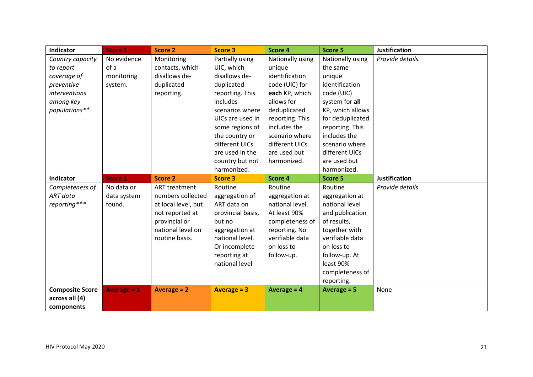| Indicator              | <b>Score 1</b>     | <b>Score 2</b>       | <b>Score 3</b>    | Score 4          | Score 5          | <b>Justification</b> |
|------------------------|--------------------|----------------------|-------------------|------------------|------------------|----------------------|
| Country capacity       | No evidence        | Monitoring           | Partially using   | Nationally using | Nationally using | Provide details.     |
| to report              | of a               | contacts, which      | UIC, which        | unique           | the same         |                      |
| coverage of            | monitoring         | disallows de-        | disallows de-     | identification   | unique           |                      |
| preventive             | system.            | duplicated           | duplicated        | code (UIC) for   | identification   |                      |
| interventions          |                    | reporting.           | reporting. This   | each KP, which   | code (UIC)       |                      |
| among key              |                    |                      | includes          | allows for       | system for all   |                      |
| populations**          |                    |                      | scenarios where   | deduplicated     | KP, which allows |                      |
|                        |                    |                      | UICs are used in  | reporting. This  | for deduplicated |                      |
|                        |                    |                      | some regions of   | includes the     | reporting. This  |                      |
|                        |                    |                      | the country or    | scenario where   | includes the     |                      |
|                        |                    |                      | different UICs    | different UICs   | scenario where   |                      |
|                        |                    |                      | are used in the   | are used but     | different UICs   |                      |
|                        |                    |                      | country but not   | harmonized.      | are used but     |                      |
|                        |                    |                      | harmonized.       |                  | harmonized.      |                      |
| Indicator              | <b>Score 1</b>     | <b>Score 2</b>       | <b>Score 3</b>    | Score 4          | Score 5          | <b>Justification</b> |
| Completeness of        | No data or         | <b>ART</b> treatment | Routine           | Routine          | Routine          | Provide details.     |
| ART data               | data system        | numbers collected    | aggregation of    | aggregation at   | aggregation at   |                      |
| reporting***           | found.             | at local level, but  | ART data on       | national level.  | national level   |                      |
|                        |                    | not reported at      | provincial basis, | At least 90%     | and publication  |                      |
|                        |                    | provincial or        | but no            | completeness of  | of results,      |                      |
|                        |                    | national level on    | aggregation at    | reporting. No    | together with    |                      |
|                        |                    | routine basis.       | national level.   | verifiable data  | verifiable data  |                      |
|                        |                    |                      | Or incomplete     | on loss to       | on loss to       |                      |
|                        |                    |                      | reporting at      | follow-up.       | follow-up. At    |                      |
|                        |                    |                      | national level    |                  | least 90%        |                      |
|                        |                    |                      |                   |                  | completeness of  |                      |
|                        |                    |                      |                   |                  | reporting.       |                      |
| <b>Composite Score</b> | <b>Average = 1</b> | Average $= 2$        | Average $= 3$     | Average $= 4$    | Average $= 5$    | None                 |
| across all (4)         |                    |                      |                   |                  |                  |                      |
| components             |                    |                      |                   |                  |                  |                      |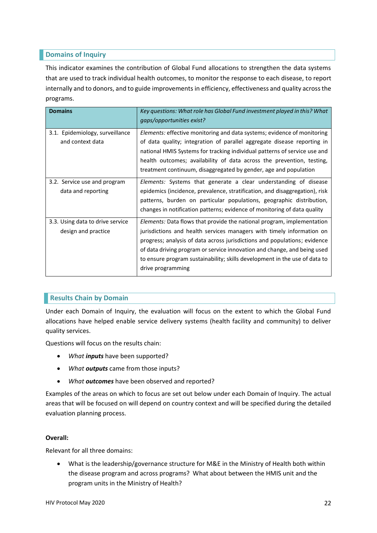### **Domains of Inquiry**

This indicator examines the contribution of Global Fund allocations to strengthen the data systems that are used to track individual health outcomes, to monitor the response to each disease, to report internally and to donors, and to guide improvements in efficiency, effectiveness and quality across the programs.

| <b>Domains</b>                                          | Key questions: What role has Global Fund investment played in this? What<br>gaps/opportunities exist?                                                                                                                                                                                                                                                                                                              |
|---------------------------------------------------------|--------------------------------------------------------------------------------------------------------------------------------------------------------------------------------------------------------------------------------------------------------------------------------------------------------------------------------------------------------------------------------------------------------------------|
| 3.1. Epidemiology, surveillance<br>and context data     | <i>Elements:</i> effective monitoring and data systems; evidence of monitoring<br>of data quality; integration of parallel aggregate disease reporting in<br>national HMIS Systems for tracking individual patterns of service use and<br>health outcomes; availability of data across the prevention, testing,<br>treatment continuum, disaggregated by gender, age and population                                |
| 3.2. Service use and program<br>data and reporting      | <i>Elements:</i> Systems that generate a clear understanding of disease<br>epidemics (incidence, prevalence, stratification, and disaggregation), risk<br>patterns, burden on particular populations, geographic distribution,<br>changes in notification patterns; evidence of monitoring of data quality                                                                                                         |
| 3.3. Using data to drive service<br>design and practice | <i>Elements:</i> Data flows that provide the national program, implementation<br>jurisdictions and health services managers with timely information on<br>progress; analysis of data across jurisdictions and populations; evidence<br>of data driving program or service innovation and change, and being used<br>to ensure program sustainability; skills development in the use of data to<br>drive programming |

## **Results Chain by Domain**

Under each Domain of Inquiry, the evaluation will focus on the extent to which the Global Fund allocations have helped enable service delivery systems (health facility and community) to deliver quality services.

Questions will focus on the results chain:

- *What inputs* have been supported?
- *What outputs* came from those inputs?
- *What outcomes* have been observed and reported?

Examples of the areas on which to focus are set out below under each Domain of Inquiry. The actual areas that will be focused on will depend on country context and will be specified during the detailed evaluation planning process.

### **Overall:**

Relevant for all three domains:

• What is the leadership/governance structure for M&E in the Ministry of Health both within the disease program and across programs? What about between the HMIS unit and the program units in the Ministry of Health?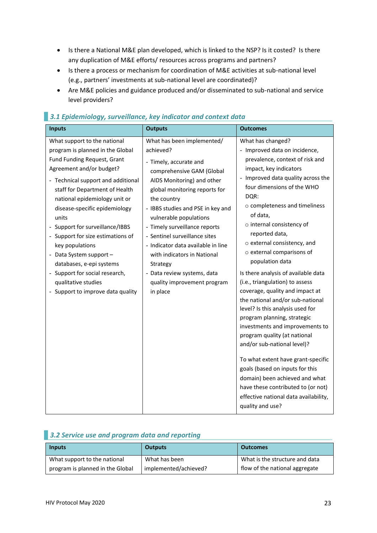- Is there a National M&E plan developed, which is linked to the NSP? Is it costed? Is there any duplication of M&E efforts/ resources across programs and partners?
- Is there a process or mechanism for coordination of M&E activities at sub-national level (e.g., partners' investments at sub-national level are coordinated)?
- Are M&E policies and guidance produced and/or disseminated to sub-national and service level providers?

| <b>Inputs</b>                                                                                                                                                                                                                                                                                                                                                                                                                                                                                                                  | <b>Outputs</b>                                                                                                                                                                                                                                                                                                                                                                                                                                                           | <b>Outcomes</b>                                                                                                                                                                                                                                                                                                                                                                                                                                                                                                                                                                                                                                                                                                                                                                                                                                                                                                  |
|--------------------------------------------------------------------------------------------------------------------------------------------------------------------------------------------------------------------------------------------------------------------------------------------------------------------------------------------------------------------------------------------------------------------------------------------------------------------------------------------------------------------------------|--------------------------------------------------------------------------------------------------------------------------------------------------------------------------------------------------------------------------------------------------------------------------------------------------------------------------------------------------------------------------------------------------------------------------------------------------------------------------|------------------------------------------------------------------------------------------------------------------------------------------------------------------------------------------------------------------------------------------------------------------------------------------------------------------------------------------------------------------------------------------------------------------------------------------------------------------------------------------------------------------------------------------------------------------------------------------------------------------------------------------------------------------------------------------------------------------------------------------------------------------------------------------------------------------------------------------------------------------------------------------------------------------|
| What support to the national<br>program is planned in the Global<br>Fund Funding Request, Grant<br>Agreement and/or budget?<br>- Technical support and additional<br>staff for Department of Health<br>national epidemiology unit or<br>disease-specific epidemiology<br>units<br>- Support for surveillance/IBBS<br>- Support for size estimations of<br>key populations<br>- Data System support -<br>databases, e-epi systems<br>- Support for social research,<br>qualitative studies<br>- Support to improve data quality | What has been implemented/<br>achieved?<br>- Timely, accurate and<br>comprehensive GAM (Global<br>AIDS Monitoring) and other<br>global monitoring reports for<br>the country<br>- IBBS studies and PSE in key and<br>vulnerable populations<br>- Timely surveillance reports<br>- Sentinel surveillance sites<br>- Indicator data available in line<br>with indicators in National<br>Strategy<br>- Data review systems, data<br>quality improvement program<br>in place | What has changed?<br>- Improved data on incidence,<br>prevalence, context of risk and<br>impact, key indicators<br>- Improved data quality across the<br>four dimensions of the WHO<br>DQR:<br>$\circ$ completeness and timeliness<br>of data,<br>o internal consistency of<br>reported data,<br>o external consistency, and<br>o external comparisons of<br>population data<br>Is there analysis of available data<br>(i.e., triangulation) to assess<br>coverage, quality and impact at<br>the national and/or sub-national<br>level? Is this analysis used for<br>program planning, strategic<br>investments and improvements to<br>program quality (at national<br>and/or sub-national level)?<br>To what extent have grant-specific<br>goals (based on inputs for this<br>domain) been achieved and what<br>have these contributed to (or not)<br>effective national data availability,<br>quality and use? |

# *3.1 Epidemiology, surveillance, key indicator and context data*

# *3.2 Service use and program data and reporting*

| <b>Inputs</b>                    | <b>Outputs</b>        | <b>Outcomes</b>                |
|----------------------------------|-----------------------|--------------------------------|
| What support to the national     | What has been         | What is the structure and data |
| program is planned in the Global | implemented/achieved? | flow of the national aggregate |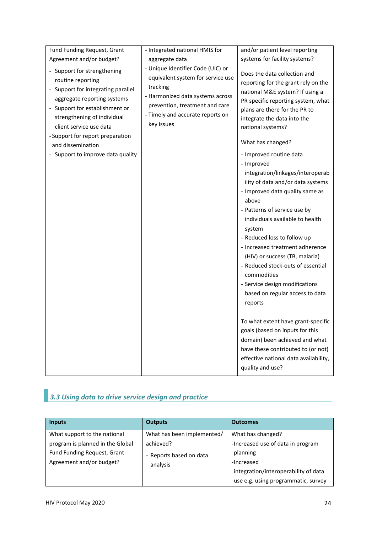| Fund Funding Request, Grant                                                                                                                                                                                                                                                                                     | - Integrated national HMIS for                                                                                                                                                                             | and/or patient level reporting                                                                                                                                                                                                                                                                                                                                                                                                                                                                                                                                                                                                                                                                                                                                                                                                                                                                                                                          |
|-----------------------------------------------------------------------------------------------------------------------------------------------------------------------------------------------------------------------------------------------------------------------------------------------------------------|------------------------------------------------------------------------------------------------------------------------------------------------------------------------------------------------------------|---------------------------------------------------------------------------------------------------------------------------------------------------------------------------------------------------------------------------------------------------------------------------------------------------------------------------------------------------------------------------------------------------------------------------------------------------------------------------------------------------------------------------------------------------------------------------------------------------------------------------------------------------------------------------------------------------------------------------------------------------------------------------------------------------------------------------------------------------------------------------------------------------------------------------------------------------------|
| Agreement and/or budget?                                                                                                                                                                                                                                                                                        | aggregate data                                                                                                                                                                                             | systems for facility systems?                                                                                                                                                                                                                                                                                                                                                                                                                                                                                                                                                                                                                                                                                                                                                                                                                                                                                                                           |
| - Support for strengthening<br>routine reporting<br>- Support for integrating parallel<br>aggregate reporting systems<br>- Support for establishment or<br>strengthening of individual<br>client service use data<br>- Support for report preparation<br>and dissemination<br>- Support to improve data quality | - Unique Identifier Code (UIC) or<br>equivalent system for service use<br>tracking<br>- Harmonized data systems across<br>prevention, treatment and care<br>- Timely and accurate reports on<br>key issues | Does the data collection and<br>reporting for the grant rely on the<br>national M&E system? If using a<br>PR specific reporting system, what<br>plans are there for the PR to<br>integrate the data into the<br>national systems?<br>What has changed?<br>- Improved routine data<br>- Improved<br>integration/linkages/interoperab<br>ility of data and/or data systems<br>- Improved data quality same as<br>above<br>- Patterns of service use by<br>individuals available to health<br>system<br>- Reduced loss to follow up<br>- Increased treatment adherence<br>(HIV) or success (TB, malaria)<br>- Reduced stock-outs of essential<br>commodities<br>- Service design modifications<br>based on regular access to data<br>reports<br>To what extent have grant-specific<br>goals (based on inputs for this<br>domain) been achieved and what<br>have these contributed to (or not)<br>effective national data availability,<br>quality and use? |

# *3.3 Using data to drive service design and practice*

| <b>Inputs</b>                                                                               | <b>Outputs</b>                                   | <b>Outcomes</b>                                                                                                                            |
|---------------------------------------------------------------------------------------------|--------------------------------------------------|--------------------------------------------------------------------------------------------------------------------------------------------|
| What support to the national                                                                | What has been implemented/                       | What has changed?                                                                                                                          |
| program is planned in the Global<br>Fund Funding Request, Grant<br>Agreement and/or budget? | achieved?<br>- Reports based on data<br>analysis | -Increased use of data in program<br>planning<br>-Increased<br>integration/interoperability of data<br>use e.g. using programmatic, survey |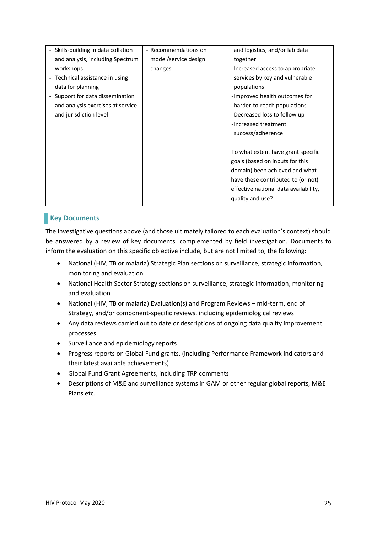| - Recommendations on | and logistics, and/or lab data        |
|----------------------|---------------------------------------|
| model/service design | together.                             |
| changes              | -Increased access to appropriate      |
|                      | services by key and vulnerable        |
|                      | populations                           |
|                      | -Improved health outcomes for         |
|                      | harder-to-reach populations           |
|                      | -Decreased loss to follow up          |
|                      | -Increased treatment                  |
|                      | success/adherence                     |
|                      |                                       |
|                      | To what extent have grant specific    |
|                      | goals (based on inputs for this       |
|                      | domain) been achieved and what        |
|                      | have these contributed to (or not)    |
|                      | effective national data availability, |
|                      | quality and use?                      |
|                      |                                       |

### **Key Documents**

The investigative questions above (and those ultimately tailored to each evaluation's context) should be answered by a review of key documents, complemented by field investigation. Documents to inform the evaluation on this specific objective include, but are not limited to, the following:

- National (HIV, TB or malaria) Strategic Plan sections on surveillance, strategic information, monitoring and evaluation
- National Health Sector Strategy sections on surveillance, strategic information, monitoring and evaluation
- National (HIV, TB or malaria) Evaluation(s) and Program Reviews mid-term, end of Strategy, and/or component-specific reviews, including epidemiological reviews
- Any data reviews carried out to date or descriptions of ongoing data quality improvement processes
- Surveillance and epidemiology reports
- Progress reports on Global Fund grants, (including Performance Framework indicators and their latest available achievements)
- Global Fund Grant Agreements, including TRP comments
- Descriptions of M&E and surveillance systems in GAM or other regular global reports, M&E Plans etc.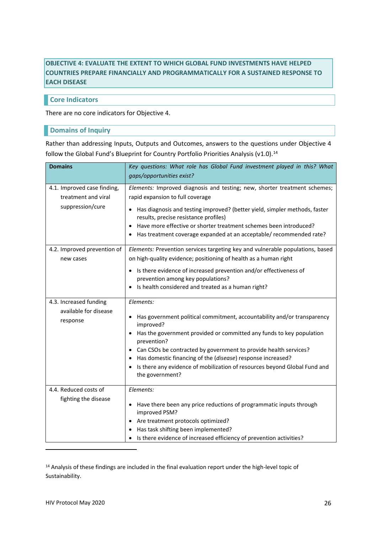# **OBJECTIVE 4: EVALUATE THE EXTENT TO WHICH GLOBAL FUND INVESTMENTS HAVE HELPED COUNTRIES PREPARE FINANCIALLY AND PROGRAMMATICALLY FOR A SUSTAINED RESPONSE TO EACH DISEASE**

### **Core Indicators**

There are no core indicators for Objective 4.

### **Domains of Inquiry**

Rather than addressing Inputs, Outputs and Outcomes, answers to the questions under Objective 4 follow the Global Fund's Blueprint for Country Portfolio Priorities Analysis (v1.0).<sup>14</sup>

| <b>Domains</b>                                                         | Key questions: What role has Global Fund investment played in this? What<br>gaps/opportunities exist?                                                                                                                                                                                                                                                                            |
|------------------------------------------------------------------------|----------------------------------------------------------------------------------------------------------------------------------------------------------------------------------------------------------------------------------------------------------------------------------------------------------------------------------------------------------------------------------|
|                                                                        |                                                                                                                                                                                                                                                                                                                                                                                  |
| 4.1. Improved case finding,<br>treatment and viral<br>suppression/cure | Elements: Improved diagnosis and testing; new, shorter treatment schemes;<br>rapid expansion to full coverage<br>Has diagnosis and testing improved? (better yield, simpler methods, faster<br>results, precise resistance profiles)<br>Have more effective or shorter treatment schemes been introduced?<br>Has treatment coverage expanded at an acceptable/ recommended rate? |
| 4.2. Improved prevention of                                            | Elements: Prevention services targeting key and vulnerable populations, based                                                                                                                                                                                                                                                                                                    |
| new cases                                                              | on high-quality evidence; positioning of health as a human right                                                                                                                                                                                                                                                                                                                 |
|                                                                        | • Is there evidence of increased prevention and/or effectiveness of<br>prevention among key populations?<br>Is health considered and treated as a human right?                                                                                                                                                                                                                   |
| 4.3. Increased funding                                                 | Elements:                                                                                                                                                                                                                                                                                                                                                                        |
| available for disease<br>response                                      | Has government political commitment, accountability and/or transparency<br>improved?<br>Has the government provided or committed any funds to key population                                                                                                                                                                                                                     |
|                                                                        | prevention?                                                                                                                                                                                                                                                                                                                                                                      |
|                                                                        | • Can CSOs be contracted by government to provide health services?<br>Has domestic financing of the (disease) response increased?                                                                                                                                                                                                                                                |
|                                                                        | Is there any evidence of mobilization of resources beyond Global Fund and<br>the government?                                                                                                                                                                                                                                                                                     |
| 4.4. Reduced costs of                                                  | Elements:                                                                                                                                                                                                                                                                                                                                                                        |
| fighting the disease                                                   | Have there been any price reductions of programmatic inputs through<br>٠<br>improved PSM?                                                                                                                                                                                                                                                                                        |
|                                                                        | Are treatment protocols optimized?<br>$\bullet$                                                                                                                                                                                                                                                                                                                                  |
|                                                                        | Has task shifting been implemented?                                                                                                                                                                                                                                                                                                                                              |
|                                                                        | Is there evidence of increased efficiency of prevention activities?                                                                                                                                                                                                                                                                                                              |

<sup>14</sup> Analysis of these findings are included in the final evaluation report under the high-level topic of Sustainability.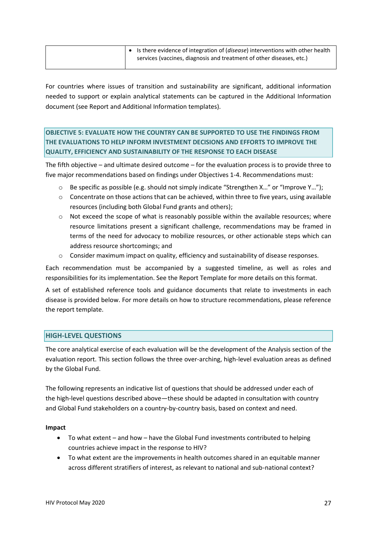| $\vert \bullet \vert$ is there evidence of integration of ( <i>disease</i> ) interventions with other health |
|--------------------------------------------------------------------------------------------------------------|
| services (vaccines, diagnosis and treatment of other diseases, etc.)                                         |
|                                                                                                              |

For countries where issues of transition and sustainability are significant, additional information needed to support or explain analytical statements can be captured in the Additional Information document (see Report and Additional Information templates).

**OBJECTIVE 5: EVALUATE HOW THE COUNTRY CAN BE SUPPORTED TO USE THE FINDINGS FROM THE EVALUATIONS TO HELP INFORM INVESTMENT DECISIONS AND EFFORTS TO IMPROVE THE QUALITY, EFFICIENCY AND SUSTAINABILITY OF THE RESPONSE TO EACH DISEASE**

The fifth objective – and ultimate desired outcome – for the evaluation process is to provide three to five major recommendations based on findings under Objectives 1-4. Recommendations must:

- $\circ$  Be specific as possible (e.g. should not simply indicate "Strengthen X..." or "Improve Y...");
- $\circ$  Concentrate on those actions that can be achieved, within three to five years, using available resources (including both Global Fund grants and others);
- o Not exceed the scope of what is reasonably possible within the available resources; where resource limitations present a significant challenge, recommendations may be framed in terms of the need for advocacy to mobilize resources, or other actionable steps which can address resource shortcomings; and
- o Consider maximum impact on quality, efficiency and sustainability of disease responses.

Each recommendation must be accompanied by a suggested timeline, as well as roles and responsibilities for its implementation. See the Report Template for more details on this format.

A set of established reference tools and guidance documents that relate to investments in each disease is provided below. For more details on how to structure recommendations, please reference the report template.

### **HIGH-LEVEL QUESTIONS**

The core analytical exercise of each evaluation will be the development of the Analysis section of the evaluation report. This section follows the three over-arching, high-level evaluation areas as defined by the Global Fund.

The following represents an indicative list of questions that should be addressed under each of the high-level questions described above—these should be adapted in consultation with country and Global Fund stakeholders on a country-by-country basis, based on context and need.

### **Impact**

- To what extent and how have the Global Fund investments contributed to helping countries achieve impact in the response to HIV?
- To what extent are the improvements in health outcomes shared in an equitable manner across different stratifiers of interest, as relevant to national and sub-national context?